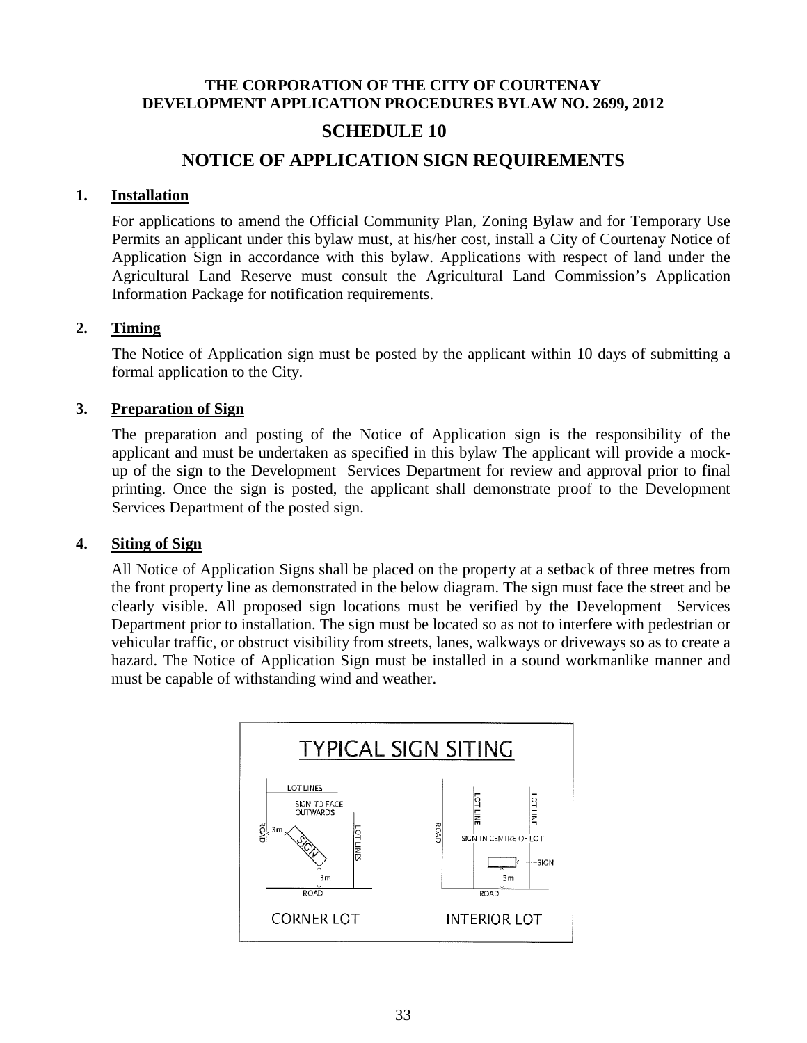### **THE CORPORATION OF THE CITY OF COURTENAY DEVELOPMENT APPLICATION PROCEDURES BYLAW NO. 2699, 2012**

# **SCHEDULE 10**

# **NOTICE OF APPLICATION SIGN REQUIREMENTS**

### **1. Installation**

For applications to amend the Official Community Plan, Zoning Bylaw and for Temporary Use Permits an applicant under this bylaw must, at his/her cost, install a City of Courtenay Notice of Application Sign in accordance with this bylaw. Applications with respect of land under the Agricultural Land Reserve must consult the Agricultural Land Commission's Application Information Package for notification requirements.

### **2. Timing**

The Notice of Application sign must be posted by the applicant within 10 days of submitting a formal application to the City.

### **3. Preparation of Sign**

The preparation and posting of the Notice of Application sign is the responsibility of the applicant and must be undertaken as specified in this bylaw The applicant will provide a mockup of the sign to the Development Services Department for review and approval prior to final printing. Once the sign is posted, the applicant shall demonstrate proof to the Development Services Department of the posted sign.

### **4. Siting of Sign**

All Notice of Application Signs shall be placed on the property at a setback of three metres from the front property line as demonstrated in the below diagram. The sign must face the street and be clearly visible. All proposed sign locations must be verified by the Development Services Department prior to installation. The sign must be located so as not to interfere with pedestrian or vehicular traffic, or obstruct visibility from streets, lanes, walkways or driveways so as to create a hazard. The Notice of Application Sign must be installed in a sound workmanlike manner and must be capable of withstanding wind and weather.

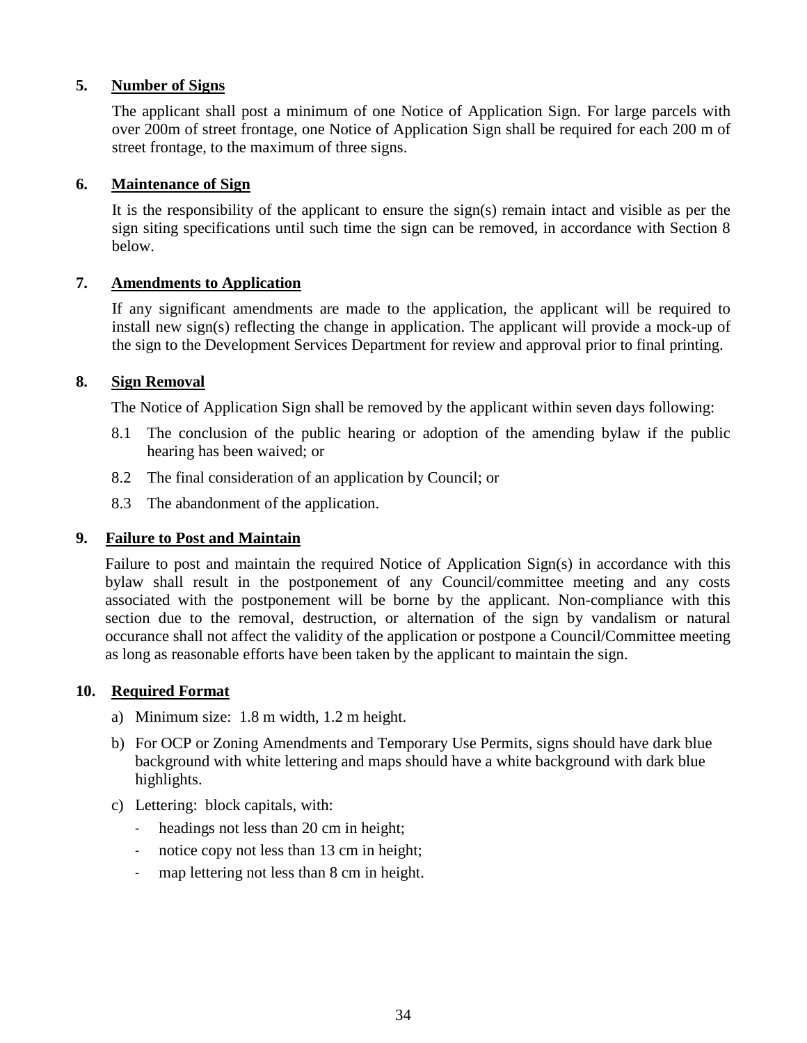### **5. Number of Signs**

The applicant shall post a minimum of one Notice of Application Sign. For large parcels with over 200m of street frontage, one Notice of Application Sign shall be required for each 200 m of street frontage, to the maximum of three signs.

### **6. Maintenance of Sign**

It is the responsibility of the applicant to ensure the sign(s) remain intact and visible as per the sign siting specifications until such time the sign can be removed, in accordance with Section 8 below.

### **7. Amendments to Application**

If any significant amendments are made to the application, the applicant will be required to install new sign(s) reflecting the change in application. The applicant will provide a mock-up of the sign to the Development Services Department for review and approval prior to final printing.

### **8. Sign Removal**

The Notice of Application Sign shall be removed by the applicant within seven days following:

- 8.1 The conclusion of the public hearing or adoption of the amending bylaw if the public hearing has been waived; or
- 8.2 The final consideration of an application by Council; or
- 8.3 The abandonment of the application.

### **9. Failure to Post and Maintain**

Failure to post and maintain the required Notice of Application Sign(s) in accordance with this bylaw shall result in the postponement of any Council/committee meeting and any costs associated with the postponement will be borne by the applicant. Non-compliance with this section due to the removal, destruction, or alternation of the sign by vandalism or natural occurance shall not affect the validity of the application or postpone a Council/Committee meeting as long as reasonable efforts have been taken by the applicant to maintain the sign.

### **10. Required Format**

- a) Minimum size: 1.8 m width, 1.2 m height.
- b) For OCP or Zoning Amendments and Temporary Use Permits, signs should have dark blue background with white lettering and maps should have a white background with dark blue highlights.
- c) Lettering: block capitals, with:
	- headings not less than 20 cm in height;
	- notice copy not less than 13 cm in height;
	- map lettering not less than 8 cm in height.